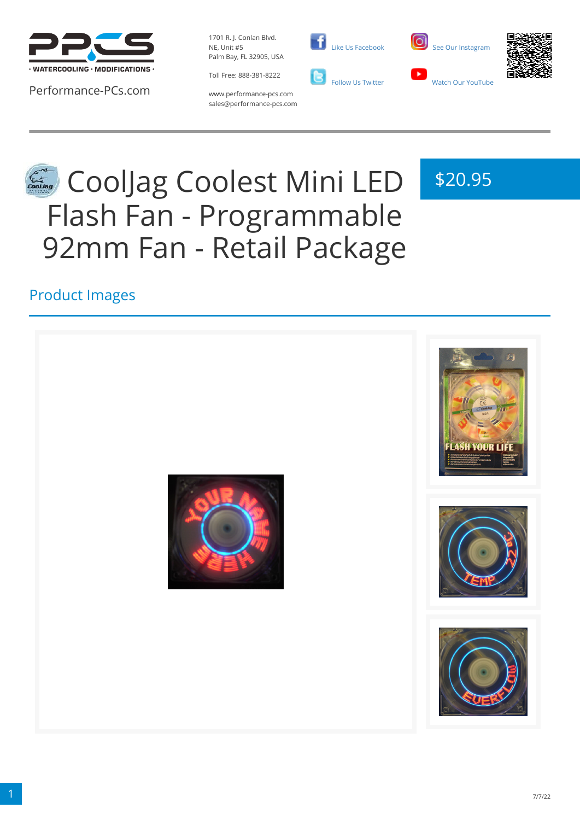

Performance-PCs.com

1701 R. J. Conlan Blvd. NE, Unit #5 Palm Bay, FL 32905, USA

Toll Free: 888-381-8222



 [Like Us Facebook](https://www.facebook.com/PerformancePCs)  [Follow Us Twitter](https://twitter.com/PerformancePCs)



\$20.95



www.performance-pcs.com sales@performance-pcs.com

# CoolJag Coolest Mini LED Flash Fan - Programmable 92mm Fan - Retail Package

Product Images

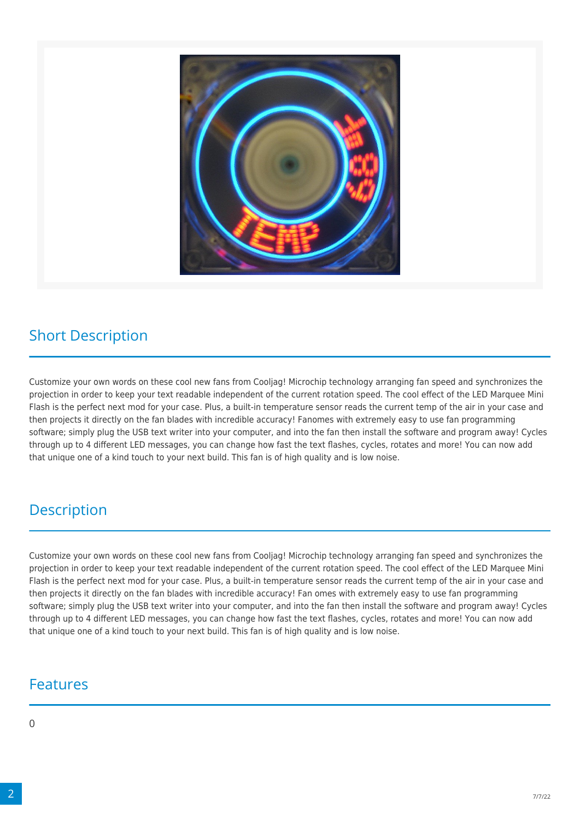

### Short Description

Customize your own words on these cool new fans from Cooljag! Microchip technology arranging fan speed and synchronizes the projection in order to keep your text readable independent of the current rotation speed. The cool effect of the LED Marquee Mini Flash is the perfect next mod for your case. Plus, a built-in temperature sensor reads the current temp of the air in your case and then projects it directly on the fan blades with incredible accuracy! Fanomes with extremely easy to use fan programming software; simply plug the USB text writer into your computer, and into the fan then install the software and program away! Cycles through up to 4 different LED messages, you can change how fast the text flashes, cycles, rotates and more! You can now add that unique one of a kind touch to your next build. This fan is of high quality and is low noise.

#### **Description**

Customize your own words on these cool new fans from Cooljag! Microchip technology arranging fan speed and synchronizes the projection in order to keep your text readable independent of the current rotation speed. The cool effect of the LED Marquee Mini Flash is the perfect next mod for your case. Plus, a built-in temperature sensor reads the current temp of the air in your case and then projects it directly on the fan blades with incredible accuracy! Fan omes with extremely easy to use fan programming software; simply plug the USB text writer into your computer, and into the fan then install the software and program away! Cycles through up to 4 different LED messages, you can change how fast the text flashes, cycles, rotates and more! You can now add that unique one of a kind touch to your next build. This fan is of high quality and is low noise.

#### Features

#### $\Omega$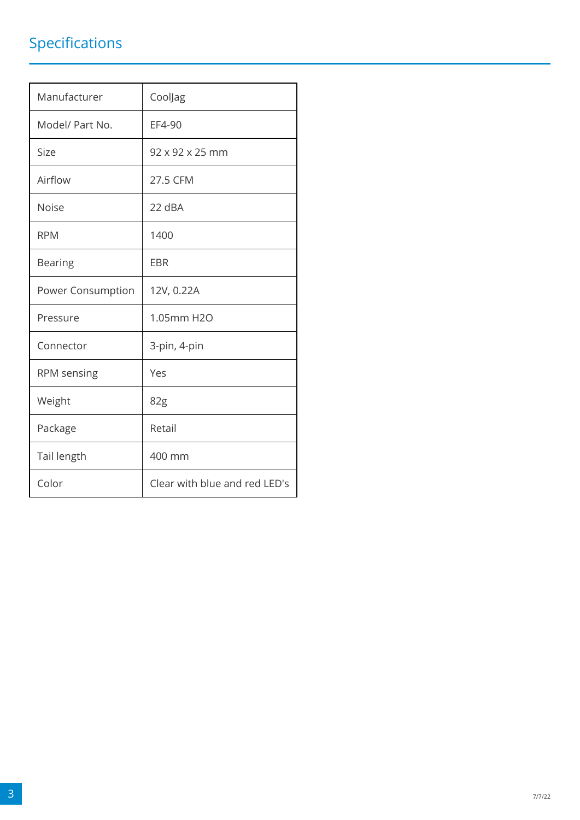## Specifications

| Manufacturer      | CoolJag                       |
|-------------------|-------------------------------|
| Model/ Part No.   | EF4-90                        |
| Size              | $92 \times 92 \times 25$ mm   |
| Airflow           | 27.5 CFM                      |
| <b>Noise</b>      | 22 dBA                        |
| <b>RPM</b>        | 1400                          |
| <b>Bearing</b>    | <b>EBR</b>                    |
| Power Consumption | 12V, 0.22A                    |
| Pressure          | 1.05mm H2O                    |
| Connector         | 3-pin, 4-pin                  |
| RPM sensing       | Yes                           |
| Weight            | 82g                           |
| Package           | Retail                        |
| Tail length       | 400 mm                        |
| Color             | Clear with blue and red LED's |